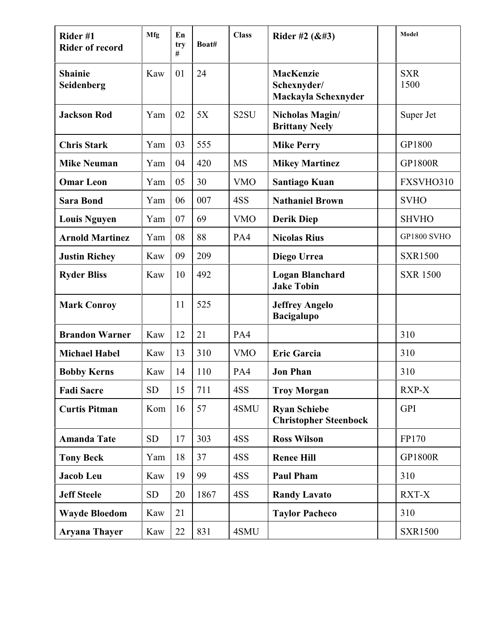| Rider#1<br><b>Rider of record</b> | Mfg       | En<br>try<br># | Boat# | <b>Class</b>      | Rider #2 $(R#3)$                                    | Model              |
|-----------------------------------|-----------|----------------|-------|-------------------|-----------------------------------------------------|--------------------|
| <b>Shainie</b><br>Seidenberg      | Kaw       | 01             | 24    |                   | MacKenzie<br>Schexnyder/<br>Mackayla Schexnyder     | <b>SXR</b><br>1500 |
| <b>Jackson Rod</b>                | Yam       | 02             | 5X    | S <sub>2</sub> SU | Nicholas Magin/<br><b>Brittany Neely</b>            | Super Jet          |
| <b>Chris Stark</b>                | Yam       | 03             | 555   |                   | <b>Mike Perry</b>                                   | GP1800             |
| <b>Mike Neuman</b>                | Yam       | 04             | 420   | <b>MS</b>         | <b>Mikey Martinez</b>                               | <b>GP1800R</b>     |
| <b>Omar Leon</b>                  | Yam       | 05             | 30    | <b>VMO</b>        | Santiago Kuan                                       | FXSVHO310          |
| <b>Sara Bond</b>                  | Yam       | 06             | 007   | 4SS               | <b>Nathaniel Brown</b>                              | <b>SVHO</b>        |
| <b>Louis Nguyen</b>               | Yam       | 07             | 69    | <b>VMO</b>        | <b>Derik Diep</b>                                   | <b>SHVHO</b>       |
| <b>Arnold Martinez</b>            | Yam       | 08             | 88    | PA4               | <b>Nicolas Rius</b>                                 | <b>GP1800 SVHO</b> |
| <b>Justin Richey</b>              | Kaw       | 09             | 209   |                   | Diego Urrea                                         | <b>SXR1500</b>     |
| <b>Ryder Bliss</b>                | Kaw       | 10             | 492   |                   | <b>Logan Blanchard</b><br><b>Jake Tobin</b>         | <b>SXR 1500</b>    |
| <b>Mark Conroy</b>                |           | 11             | 525   |                   | <b>Jeffrey Angelo</b><br><b>Bacigalupo</b>          |                    |
| <b>Brandon Warner</b>             | Kaw       | 12             | 21    | PA4               |                                                     | 310                |
| <b>Michael Habel</b>              | Kaw       | 13             | 310   | <b>VMO</b>        | <b>Eric Garcia</b>                                  | 310                |
| <b>Bobby Kerns</b>                | Kaw       | 14             | 110   | PA4               | <b>Jon Phan</b>                                     | 310                |
| <b>Fadi Sacre</b>                 | <b>SD</b> | 15             | 711   | 4SS               | <b>Troy Morgan</b>                                  | RXP-X              |
| <b>Curtis Pitman</b>              | Kom       | 16             | 57    | 4SMU              | <b>Ryan Schiebe</b><br><b>Christopher Steenbock</b> | <b>GPI</b>         |
| <b>Amanda Tate</b>                | <b>SD</b> | 17             | 303   | 4SS               | <b>Ross Wilson</b>                                  | FP170              |
| <b>Tony Beck</b>                  | Yam       | 18             | 37    | 4SS               | <b>Renee Hill</b>                                   | <b>GP1800R</b>     |
| Jacob Leu                         | Kaw       | 19             | 99    | 4SS               | <b>Paul Pham</b>                                    | 310                |
| <b>Jeff Steele</b>                | <b>SD</b> | 20             | 1867  | 4SS               | <b>Randy Lavato</b>                                 | RXT-X              |
| <b>Wayde Bloedom</b>              | Kaw       | 21             |       |                   | <b>Taylor Pacheco</b>                               | 310                |
| <b>Aryana Thayer</b>              | Kaw       | 22             | 831   | 4SMU              |                                                     | <b>SXR1500</b>     |